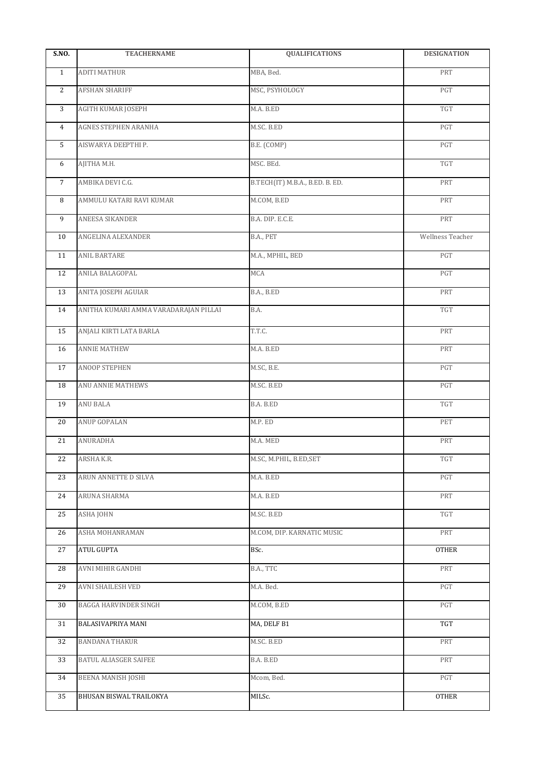| <b>S.NO.</b>   | <b>TEACHERNAME</b>                    | <b>QUALIFICATIONS</b>           | <b>DESIGNATION</b>      |
|----------------|---------------------------------------|---------------------------------|-------------------------|
| $\mathbf{1}$   | <b>ADITI MATHUR</b>                   | MBA, Bed.                       | PRT                     |
| $\overline{2}$ | <b>AFSHAN SHARIFF</b>                 | MSC, PSYHOLOGY                  | PGT                     |
| 3              | AGITH KUMAR JOSEPH                    | M.A. B.ED                       | TGT                     |
| $\overline{4}$ | AGNES STEPHEN ARANHA                  | M.SC. B.ED                      | PGT                     |
| 5              | AISWARYA DEEPTHI P.                   | B.E. (COMP)                     | $\mathop{\mathrm{PGT}}$ |
| 6              | AJITHA M.H.                           | MSC. BEd.                       | TGT                     |
| $\overline{7}$ | AMBIKA DEVI C.G.                      | B.TECH(IT) M.B.A., B.ED. B. ED. | PRT                     |
| 8              | AMMULU KATARI RAVI KUMAR              | M.COM, B.ED                     | PRT                     |
| 9              | ANEESA SIKANDER                       | B.A. DIP. E.C.E.                | PRT                     |
| 10             | ANGELINA ALEXANDER                    | B.A., PET                       | Wellness Teacher        |
| 11             | <b>ANIL BARTARE</b>                   | M.A., MPHIL, BED                | PGT                     |
| 12             | ANILA BALAGOPAL                       | MCA                             | PGT                     |
| 13             | ANITA JOSEPH AGUIAR                   | B.A., B.ED                      | PRT                     |
| 14             | ANITHA KUMARI AMMA VARADARAJAN PILLAI | B.A.                            | TGT                     |
| 15             | ANJALI KIRTI LATA BARLA               | T.T.C.                          | PRT                     |
| 16             | <b>ANNIE MATHEW</b>                   | M.A. B.ED                       | PRT                     |
| 17             | <b>ANOOP STEPHEN</b>                  | M.SC, B.E.                      | PGT                     |
| 18             | ANU ANNIE MATHEWS                     | M.SC. B.ED                      | PGT                     |
| 19             | <b>ANU BALA</b>                       | B.A. B.ED                       | TGT                     |
| 20             | ANUP GOPALAN                          | M.P. ED                         | PET                     |
| 21             | <b>ANURADHA</b>                       | M.A. MED                        | PRT                     |
| 22             | ARSHA K.R.                            | M.SC, M.PHIL, B.ED,SET          | TGT                     |
| 23             | ARUN ANNETTE D SILVA                  | M.A. B.ED                       | PGT                     |
| 24             | ARUNA SHARMA                          | M.A. B.ED                       | PRT                     |
| 25             | <b>ASHA JOHN</b>                      | M.SC. B.ED                      | TGT                     |
| 26             | ASHA MOHANRAMAN                       | M.COM, DIP. KARNATIC MUSIC      | PRT                     |
| 27             | ATUL GUPTA                            | BSc.                            | <b>OTHER</b>            |
| 28             | AVNI MIHIR GANDHI                     | B.A., TTC                       | PRT                     |
| 29             | AVNI SHAILESH VED                     | M.A. Bed.                       | PGT                     |
| 30             | BAGGA HARVINDER SINGH                 | M.COM, B.ED                     | PGT                     |
| 31             | BALASIVAPRIYA MANI                    | MA, DELF B1                     | <b>TGT</b>              |
| 32             | <b>BANDANA THAKUR</b>                 | M.SC. B.ED                      | PRT                     |
| 33             | BATUL ALIASGER SAIFEE                 | B.A. B.ED                       | PRT                     |
| 34             | <b>BEENA MANISH JOSHI</b>             | Mcom, Bed.                      | PGT                     |
| 35             | BHUSAN BISWAL TRAILOKYA               | MILSc.                          | <b>OTHER</b>            |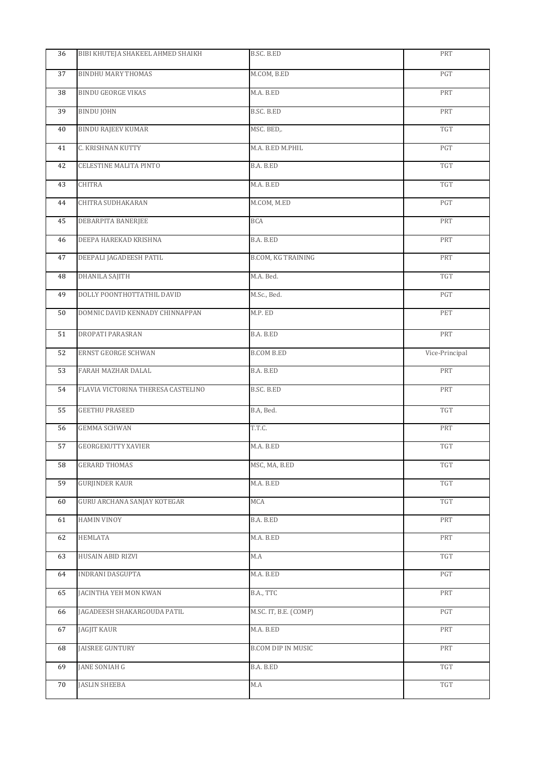| <b>BINDHU MARY THOMAS</b><br>M.COM, B.ED<br>PGT<br>37<br><b>BINDU GEORGE VIKAS</b><br>M.A. B.ED<br>PRT<br>38<br><b>BINDU JOHN</b><br>B.SC. B.ED<br>PRT<br>39<br><b>BINDU RAJEEV KUMAR</b><br>TGT<br>MSC. BED,.<br>40<br>C. KRISHNAN KUTTY<br>PGT<br>M.A. B.ED M.PHIL<br>41<br>TGT<br>CELESTINE MALITA PINTO<br>B.A. B.ED<br>42<br><b>CHITRA</b><br>M.A. B.ED<br>TGT<br>43<br>CHITRA SUDHAKARAN<br>M.COM, M.ED<br>PGT<br>44<br>DEBARPITA BANERJEE<br>PRT<br><b>BCA</b><br>45<br>DEEPA HAREKAD KRISHNA<br>B.A. B.ED<br>PRT<br>46<br>DEEPALI JAGADEESH PATIL<br><b>B.COM, KG TRAINING</b><br>PRT<br>47<br>DHANILA SAJITH<br>M.A. Bed.<br>TGT<br>48<br>DOLLY POONTHOTTATHIL DAVID<br>M.Sc., Bed.<br>PGT<br>49<br>DOMNIC DAVID KENNADY CHINNAPPAN<br>M.P. ED<br>PET<br>50<br>DROPATI PARASRAN<br>B.A. B.ED<br>PRT<br>51<br>ERNST GEORGE SCHWAN<br>Vice-Principal<br><b>B.COM B.ED</b><br>52<br>FARAH MAZHAR DALAL<br>B.A. B.ED<br>PRT<br>53<br>FLAVIA VICTORINA THERESA CASTELINO<br>B.SC. B.ED<br>PRT<br>54<br><b>GEETHU PRASEED</b><br>B.A, Bed.<br>TGT<br>55<br><b>GEMMA SCHWAN</b><br>T.T.C.<br>PRT<br>56<br><b>GEORGEKUTTY XAVIER</b><br>TGT<br>57<br>M.A. B.ED<br><b>GERARD THOMAS</b><br>MSC, MA, B.ED<br>$\operatorname{TGT}$<br>58<br><b>GURJINDER KAUR</b><br>TGT<br>59<br>M.A. B.ED<br><b>GURU ARCHANA SANJAY KOTEGAR</b><br>TGT<br>MCA<br>60<br><b>HAMIN VINOY</b><br>PRT<br>B.A. B.ED<br>61<br>HEMLATA<br>M.A. B.ED<br>PRT<br>62<br>HUSAIN ABID RIZVI<br>$\operatorname{TGT}$<br>63<br>M.A<br>PGT<br>INDRANI DASGUPTA<br>M.A. B.ED<br>64<br>B.A., TTC<br>PRT<br>JACINTHA YEH MON KWAN<br>65<br>M.SC. IT, B.E. (COMP)<br>PGT<br>JAGADEESH SHAKARGOUDA PATIL<br>66<br><b>JAGJIT KAUR</b><br>M.A. B.ED<br>PRT<br>67<br>JAISREE GUNTURY<br>PRT<br>B.COM DIP IN MUSIC<br>68<br><b>JANE SONIAH G</b><br>TGT<br>B.A. B.ED<br>69<br><b>JASLIN SHEEBA</b><br>TGT<br>M.A<br>70 | 36 | BIBI KHUTEJA SHAKEEL AHMED SHAIKH | B.SC. B.ED | PRT |
|------------------------------------------------------------------------------------------------------------------------------------------------------------------------------------------------------------------------------------------------------------------------------------------------------------------------------------------------------------------------------------------------------------------------------------------------------------------------------------------------------------------------------------------------------------------------------------------------------------------------------------------------------------------------------------------------------------------------------------------------------------------------------------------------------------------------------------------------------------------------------------------------------------------------------------------------------------------------------------------------------------------------------------------------------------------------------------------------------------------------------------------------------------------------------------------------------------------------------------------------------------------------------------------------------------------------------------------------------------------------------------------------------------------------------------------------------------------------------------------------------------------------------------------------------------------------------------------------------------------------------------------------------------------------------------------------------------------------------------------------------------------------------------------------------------------------------------------------------------------------------|----|-----------------------------------|------------|-----|
|                                                                                                                                                                                                                                                                                                                                                                                                                                                                                                                                                                                                                                                                                                                                                                                                                                                                                                                                                                                                                                                                                                                                                                                                                                                                                                                                                                                                                                                                                                                                                                                                                                                                                                                                                                                                                                                                              |    |                                   |            |     |
|                                                                                                                                                                                                                                                                                                                                                                                                                                                                                                                                                                                                                                                                                                                                                                                                                                                                                                                                                                                                                                                                                                                                                                                                                                                                                                                                                                                                                                                                                                                                                                                                                                                                                                                                                                                                                                                                              |    |                                   |            |     |
|                                                                                                                                                                                                                                                                                                                                                                                                                                                                                                                                                                                                                                                                                                                                                                                                                                                                                                                                                                                                                                                                                                                                                                                                                                                                                                                                                                                                                                                                                                                                                                                                                                                                                                                                                                                                                                                                              |    |                                   |            |     |
|                                                                                                                                                                                                                                                                                                                                                                                                                                                                                                                                                                                                                                                                                                                                                                                                                                                                                                                                                                                                                                                                                                                                                                                                                                                                                                                                                                                                                                                                                                                                                                                                                                                                                                                                                                                                                                                                              |    |                                   |            |     |
|                                                                                                                                                                                                                                                                                                                                                                                                                                                                                                                                                                                                                                                                                                                                                                                                                                                                                                                                                                                                                                                                                                                                                                                                                                                                                                                                                                                                                                                                                                                                                                                                                                                                                                                                                                                                                                                                              |    |                                   |            |     |
|                                                                                                                                                                                                                                                                                                                                                                                                                                                                                                                                                                                                                                                                                                                                                                                                                                                                                                                                                                                                                                                                                                                                                                                                                                                                                                                                                                                                                                                                                                                                                                                                                                                                                                                                                                                                                                                                              |    |                                   |            |     |
|                                                                                                                                                                                                                                                                                                                                                                                                                                                                                                                                                                                                                                                                                                                                                                                                                                                                                                                                                                                                                                                                                                                                                                                                                                                                                                                                                                                                                                                                                                                                                                                                                                                                                                                                                                                                                                                                              |    |                                   |            |     |
|                                                                                                                                                                                                                                                                                                                                                                                                                                                                                                                                                                                                                                                                                                                                                                                                                                                                                                                                                                                                                                                                                                                                                                                                                                                                                                                                                                                                                                                                                                                                                                                                                                                                                                                                                                                                                                                                              |    |                                   |            |     |
|                                                                                                                                                                                                                                                                                                                                                                                                                                                                                                                                                                                                                                                                                                                                                                                                                                                                                                                                                                                                                                                                                                                                                                                                                                                                                                                                                                                                                                                                                                                                                                                                                                                                                                                                                                                                                                                                              |    |                                   |            |     |
|                                                                                                                                                                                                                                                                                                                                                                                                                                                                                                                                                                                                                                                                                                                                                                                                                                                                                                                                                                                                                                                                                                                                                                                                                                                                                                                                                                                                                                                                                                                                                                                                                                                                                                                                                                                                                                                                              |    |                                   |            |     |
|                                                                                                                                                                                                                                                                                                                                                                                                                                                                                                                                                                                                                                                                                                                                                                                                                                                                                                                                                                                                                                                                                                                                                                                                                                                                                                                                                                                                                                                                                                                                                                                                                                                                                                                                                                                                                                                                              |    |                                   |            |     |
|                                                                                                                                                                                                                                                                                                                                                                                                                                                                                                                                                                                                                                                                                                                                                                                                                                                                                                                                                                                                                                                                                                                                                                                                                                                                                                                                                                                                                                                                                                                                                                                                                                                                                                                                                                                                                                                                              |    |                                   |            |     |
|                                                                                                                                                                                                                                                                                                                                                                                                                                                                                                                                                                                                                                                                                                                                                                                                                                                                                                                                                                                                                                                                                                                                                                                                                                                                                                                                                                                                                                                                                                                                                                                                                                                                                                                                                                                                                                                                              |    |                                   |            |     |
|                                                                                                                                                                                                                                                                                                                                                                                                                                                                                                                                                                                                                                                                                                                                                                                                                                                                                                                                                                                                                                                                                                                                                                                                                                                                                                                                                                                                                                                                                                                                                                                                                                                                                                                                                                                                                                                                              |    |                                   |            |     |
|                                                                                                                                                                                                                                                                                                                                                                                                                                                                                                                                                                                                                                                                                                                                                                                                                                                                                                                                                                                                                                                                                                                                                                                                                                                                                                                                                                                                                                                                                                                                                                                                                                                                                                                                                                                                                                                                              |    |                                   |            |     |
|                                                                                                                                                                                                                                                                                                                                                                                                                                                                                                                                                                                                                                                                                                                                                                                                                                                                                                                                                                                                                                                                                                                                                                                                                                                                                                                                                                                                                                                                                                                                                                                                                                                                                                                                                                                                                                                                              |    |                                   |            |     |
|                                                                                                                                                                                                                                                                                                                                                                                                                                                                                                                                                                                                                                                                                                                                                                                                                                                                                                                                                                                                                                                                                                                                                                                                                                                                                                                                                                                                                                                                                                                                                                                                                                                                                                                                                                                                                                                                              |    |                                   |            |     |
|                                                                                                                                                                                                                                                                                                                                                                                                                                                                                                                                                                                                                                                                                                                                                                                                                                                                                                                                                                                                                                                                                                                                                                                                                                                                                                                                                                                                                                                                                                                                                                                                                                                                                                                                                                                                                                                                              |    |                                   |            |     |
|                                                                                                                                                                                                                                                                                                                                                                                                                                                                                                                                                                                                                                                                                                                                                                                                                                                                                                                                                                                                                                                                                                                                                                                                                                                                                                                                                                                                                                                                                                                                                                                                                                                                                                                                                                                                                                                                              |    |                                   |            |     |
|                                                                                                                                                                                                                                                                                                                                                                                                                                                                                                                                                                                                                                                                                                                                                                                                                                                                                                                                                                                                                                                                                                                                                                                                                                                                                                                                                                                                                                                                                                                                                                                                                                                                                                                                                                                                                                                                              |    |                                   |            |     |
|                                                                                                                                                                                                                                                                                                                                                                                                                                                                                                                                                                                                                                                                                                                                                                                                                                                                                                                                                                                                                                                                                                                                                                                                                                                                                                                                                                                                                                                                                                                                                                                                                                                                                                                                                                                                                                                                              |    |                                   |            |     |
|                                                                                                                                                                                                                                                                                                                                                                                                                                                                                                                                                                                                                                                                                                                                                                                                                                                                                                                                                                                                                                                                                                                                                                                                                                                                                                                                                                                                                                                                                                                                                                                                                                                                                                                                                                                                                                                                              |    |                                   |            |     |
|                                                                                                                                                                                                                                                                                                                                                                                                                                                                                                                                                                                                                                                                                                                                                                                                                                                                                                                                                                                                                                                                                                                                                                                                                                                                                                                                                                                                                                                                                                                                                                                                                                                                                                                                                                                                                                                                              |    |                                   |            |     |
|                                                                                                                                                                                                                                                                                                                                                                                                                                                                                                                                                                                                                                                                                                                                                                                                                                                                                                                                                                                                                                                                                                                                                                                                                                                                                                                                                                                                                                                                                                                                                                                                                                                                                                                                                                                                                                                                              |    |                                   |            |     |
|                                                                                                                                                                                                                                                                                                                                                                                                                                                                                                                                                                                                                                                                                                                                                                                                                                                                                                                                                                                                                                                                                                                                                                                                                                                                                                                                                                                                                                                                                                                                                                                                                                                                                                                                                                                                                                                                              |    |                                   |            |     |
|                                                                                                                                                                                                                                                                                                                                                                                                                                                                                                                                                                                                                                                                                                                                                                                                                                                                                                                                                                                                                                                                                                                                                                                                                                                                                                                                                                                                                                                                                                                                                                                                                                                                                                                                                                                                                                                                              |    |                                   |            |     |
|                                                                                                                                                                                                                                                                                                                                                                                                                                                                                                                                                                                                                                                                                                                                                                                                                                                                                                                                                                                                                                                                                                                                                                                                                                                                                                                                                                                                                                                                                                                                                                                                                                                                                                                                                                                                                                                                              |    |                                   |            |     |
|                                                                                                                                                                                                                                                                                                                                                                                                                                                                                                                                                                                                                                                                                                                                                                                                                                                                                                                                                                                                                                                                                                                                                                                                                                                                                                                                                                                                                                                                                                                                                                                                                                                                                                                                                                                                                                                                              |    |                                   |            |     |
|                                                                                                                                                                                                                                                                                                                                                                                                                                                                                                                                                                                                                                                                                                                                                                                                                                                                                                                                                                                                                                                                                                                                                                                                                                                                                                                                                                                                                                                                                                                                                                                                                                                                                                                                                                                                                                                                              |    |                                   |            |     |
|                                                                                                                                                                                                                                                                                                                                                                                                                                                                                                                                                                                                                                                                                                                                                                                                                                                                                                                                                                                                                                                                                                                                                                                                                                                                                                                                                                                                                                                                                                                                                                                                                                                                                                                                                                                                                                                                              |    |                                   |            |     |
|                                                                                                                                                                                                                                                                                                                                                                                                                                                                                                                                                                                                                                                                                                                                                                                                                                                                                                                                                                                                                                                                                                                                                                                                                                                                                                                                                                                                                                                                                                                                                                                                                                                                                                                                                                                                                                                                              |    |                                   |            |     |
|                                                                                                                                                                                                                                                                                                                                                                                                                                                                                                                                                                                                                                                                                                                                                                                                                                                                                                                                                                                                                                                                                                                                                                                                                                                                                                                                                                                                                                                                                                                                                                                                                                                                                                                                                                                                                                                                              |    |                                   |            |     |
|                                                                                                                                                                                                                                                                                                                                                                                                                                                                                                                                                                                                                                                                                                                                                                                                                                                                                                                                                                                                                                                                                                                                                                                                                                                                                                                                                                                                                                                                                                                                                                                                                                                                                                                                                                                                                                                                              |    |                                   |            |     |
|                                                                                                                                                                                                                                                                                                                                                                                                                                                                                                                                                                                                                                                                                                                                                                                                                                                                                                                                                                                                                                                                                                                                                                                                                                                                                                                                                                                                                                                                                                                                                                                                                                                                                                                                                                                                                                                                              |    |                                   |            |     |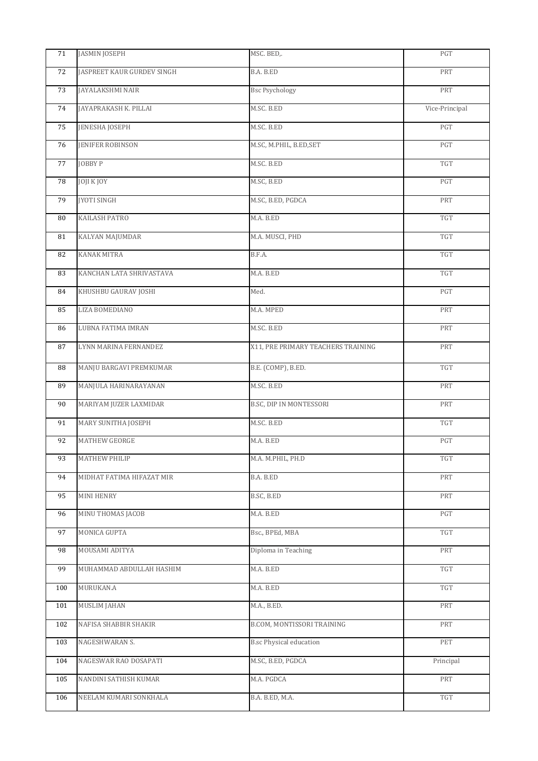| 71  | <b>JASMIN JOSEPH</b>       | MSC. BED,.                         | PGT                     |
|-----|----------------------------|------------------------------------|-------------------------|
| 72  | JASPREET KAUR GURDEV SINGH | B.A. B.ED                          | PRT                     |
| 73  | JAYALAKSHMI NAIR           | <b>Bsc Psychology</b>              | PRT                     |
| 74  | JAYAPRAKASH K. PILLAI      | M.SC. B.ED                         | Vice-Principal          |
| 75  | <b>JENESHA JOSEPH</b>      | M.SC. B.ED                         | PGT                     |
| 76  | <b>JENIFER ROBINSON</b>    | M.SC, M.PHIL, B.ED, SET            | PGT                     |
| 77  | JOBBY P                    | M.SC. B.ED                         | TGT                     |
| 78  | <b>JOJI K JOY</b>          | M.SC, B.ED                         | PGT                     |
| 79  | <b>JYOTI SINGH</b>         | M.SC, B.ED, PGDCA                  | PRT                     |
| 80  | <b>KAILASH PATRO</b>       | M.A. B.ED                          | <b>TGT</b>              |
| 81  | KALYAN MAJUMDAR            | M.A. MUSCI, PHD                    | TGT                     |
| 82  | <b>KANAK MITRA</b>         | B.F.A.                             | TGT                     |
| 83  | KANCHAN LATA SHRIVASTAVA   | M.A. B.ED                          | <b>TGT</b>              |
| 84  | KHUSHBU GAURAV JOSHI       | Med.                               | PGT                     |
| 85  | LIZA BOMEDIANO             | M.A. MPED                          | PRT                     |
| 86  | LUBNA FATIMA IMRAN         | M.SC. B.ED                         | PRT                     |
| 87  | LYNN MARINA FERNANDEZ      | X11, PRE PRIMARY TEACHERS TRAINING | PRT                     |
| 88  | MANJU BARGAVI PREMKUMAR    | B.E. (COMP), B.ED.                 | <b>TGT</b>              |
| 89  | MANJULA HARINARAYANAN      | M.SC. B.ED                         | PRT                     |
| 90  | MARIYAM JUZER LAXMIDAR     | B.SC, DIP IN MONTESSORI            | PRT                     |
| 91  | MARY SUNITHA JOSEPH        | M.SC. B.ED                         | <b>TGT</b>              |
| 92  | MATHEW GEORGE              | M.A. B.ED                          | $\mathop{\mathrm{PGT}}$ |
| 93  | <b>MATHEW PHILIP</b>       | M.A. M.PHIL, PH.D                  | <b>TGT</b>              |
| 94  | MIDHAT FATIMA HIFAZAT MIR  | B.A. B.ED                          | PRT                     |
| 95  | MINI HENRY                 | B.SC, B.ED                         | PRT                     |
| 96  | MINU THOMAS JACOB          | M.A. B.ED                          | PGT                     |
| 97  | MONICA GUPTA               | Bsc., BPEd, MBA                    | TGT                     |
| 98  | MOUSAMI ADITYA             | Diploma in Teaching                | PRT                     |
| 99  | MUHAMMAD ABDULLAH HASHIM   | M.A. B.ED                          | TGT                     |
| 100 | MURUKAN.A                  | M.A. B.ED                          | TGT                     |
| 101 | <b>MUSLIM JAHAN</b>        | M.A., B.ED.                        | PRT                     |
| 102 | NAFISA SHABBIR SHAKIR      | B.COM, MONTISSORI TRAINING         | PRT                     |
| 103 | NAGESHWARAN S.             | <b>B.sc Physical education</b>     | PET                     |
| 104 | NAGESWAR RAO DOSAPATI      | M.SC, B.ED, PGDCA                  | Principal               |
| 105 | NANDINI SATHISH KUMAR      | M.A. PGDCA                         | PRT                     |
| 106 | NEELAM KUMARI SONKHALA     | B.A. B.ED, M.A.                    | TGT                     |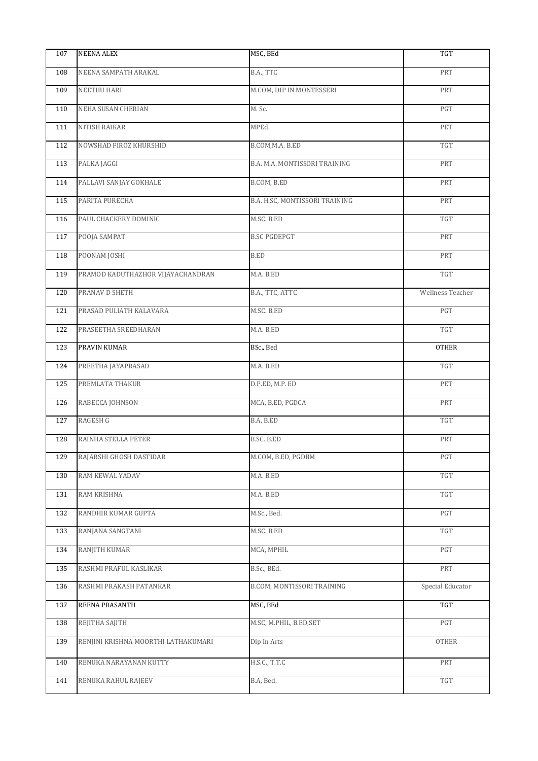| 107 | <b>NEENA ALEX</b>                   | MSC, BEd                       | <b>TGT</b>              |
|-----|-------------------------------------|--------------------------------|-------------------------|
| 108 | NEENA SAMPATH ARAKAL                | B.A., TTC                      | PRT                     |
| 109 | NEETHU HARI                         | M.COM, DIP IN MONTESSERI       | PRT                     |
| 110 | NEHA SUSAN CHERIAN                  | M. Sc.                         | $\mathop{\mathrm{PGT}}$ |
| 111 | <b>NITISH RAIKAR</b>                | MPEd.                          | PET                     |
| 112 | NOWSHAD FIROZ KHURSHID              | B.COM, M.A. B.ED               | TGT                     |
| 113 | PALKA JAGGI                         | B.A. M.A. MONTISSORI TRAINING  | PRT                     |
| 114 | PALLAVI SANJAY GOKHALE              | B.COM, B.ED                    | PRT                     |
| 115 | PARITA PURECHA                      | B.A. H.SC, MONTISSORI TRAINING | PRT                     |
| 116 | PAUL CHACKERY DOMINIC               | M.SC. B.ED                     | TGT                     |
| 117 | POOJA SAMPAT                        | <b>B.SC PGDEPGT</b>            | PRT                     |
| 118 | POONAM JOSHI                        | <b>B.ED</b>                    | PRT                     |
| 119 | PRAMOD KADUTHAZHOR VIJAYACHANDRAN   | M.A. B.ED                      | TGT                     |
| 120 | PRANAV D SHETH                      | B.A., TTC, ATTC                | Wellness Teacher        |
| 121 | PRASAD PULIATH KALAVARA             | M.SC. B.ED                     | PGT                     |
| 122 | PRASEETHA SREEDHARAN                | M.A. B.ED                      | TGT                     |
| 123 | PRAVIN KUMAR                        | BSc., Bed                      | <b>OTHER</b>            |
| 124 | PREETHA JAYAPRASAD                  | M.A. B.ED                      | TGT                     |
| 125 | PREMLATA THAKUR                     | D.P.ED, M.P. ED                | PET                     |
| 126 | RABECCA JOHNSON                     | MCA, B.ED, PGDCA               | PRT                     |
| 127 | <b>RAGESH G</b>                     | B.A, B.ED                      | $\operatorname{TGT}$    |
| 128 | RAINHA STELLA PETER                 | B.SC. B.ED                     | PRT                     |
| 129 | RAJARSHI GHOSH DASTIDAR             | M.COM, B.ED, PGDBM             | <b>PGT</b>              |
| 130 | RAM KEWAL YADAV                     | M.A. B.ED                      | TGT                     |
| 131 | RAM KRISHNA                         | M.A. B.ED                      | TGT                     |
| 132 | RANDHIR KUMAR GUPTA                 | M.Sc., Bed.                    | PGT                     |
| 133 | RANJANA SANGTANI                    | M.SC. B.ED                     | TGT                     |
| 134 | RANJITH KUMAR                       | MCA, MPHIL                     | PGT                     |
| 135 | RASHMI PRAFUL KASLIKAR              | B.Sc., BEd.                    | PRT                     |
| 136 | RASHMI PRAKASH PATANKAR             | B.COM, MONTISSORI TRAINING     | Special Educator        |
| 137 | REENA PRASANTH                      | MSC, BEd                       | TGT                     |
| 138 | REJITHA SAJITH                      | M.SC, M.PHIL, B.ED, SET        | PGT                     |
| 139 | RENJINI KRISHNA MOORTHI LATHAKUMARI | Dip In Arts                    | <b>OTHER</b>            |
| 140 | RENUKA NARAYANAN KUTTY              | H.S.C., T.T.C                  | PRT                     |
| 141 | RENUKA RAHUL RAJEEV                 | B.A, Bed.                      | TGT                     |
|     |                                     |                                |                         |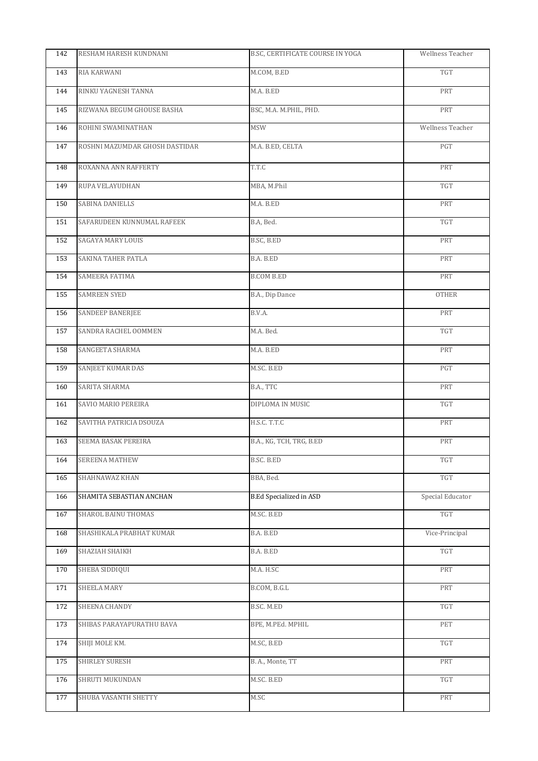| 142 | RESHAM HARESH KUNDNANI         | B.SC, CERTIFICATE COURSE IN YOGA | Wellness Teacher     |
|-----|--------------------------------|----------------------------------|----------------------|
| 143 | RIA KARWANI                    | M.COM, B.ED                      | $\operatorname{TGT}$ |
| 144 | RINKU YAGNESH TANNA            | M.A. B.ED                        | PRT                  |
| 145 | RIZWANA BEGUM GHOUSE BASHA     | BSC, M.A. M.PHIL, PHD.           | PRT                  |
| 146 | ROHINI SWAMINATHAN             | <b>MSW</b>                       | Wellness Teacher     |
| 147 | ROSHNI MAZUMDAR GHOSH DASTIDAR | M.A. B.ED, CELTA                 | PGT                  |
| 148 | ROXANNA ANN RAFFERTY           | T.T.C                            | PRT                  |
| 149 | RUPA VELAYUDHAN                | MBA, M.Phil                      | <b>TGT</b>           |
| 150 | SABINA DANIELLS                | M.A. B.ED                        | PRT                  |
| 151 | SAFARUDEEN KUNNUMAL RAFEEK     | B.A, Bed.                        | <b>TGT</b>           |
| 152 | SAGAYA MARY LOUIS              | B.SC, B.ED                       | PRT                  |
| 153 | SAKINA TAHER PATLA             | B.A. B.ED                        | PRT                  |
| 154 | SAMEERA FATIMA                 | B.COM B.ED                       | PRT                  |
| 155 | <b>SAMREEN SYED</b>            | B.A., Dip Dance                  | OTHER                |
| 156 | <b>SANDEEP BANERJEE</b>        | B.V.A.                           | PRT                  |
| 157 | SANDRA RACHEL OOMMEN           | M.A. Bed.                        | TGT                  |
| 158 | SANGEETA SHARMA                | M.A. B.ED                        | PRT                  |
| 159 | SANJEET KUMAR DAS              | M.SC. B.ED                       | PGT                  |
| 160 | SARITA SHARMA                  | B.A., TTC                        | PRT                  |
| 161 | SAVIO MARIO PEREIRA            | DIPLOMA IN MUSIC                 | TGT                  |
| 162 | SAVITHA PATRICIA DSOUZA        | H.S.C. T.T.C                     | PRT                  |
| 163 | SEEMA BASAK PEREIRA            | B.A., KG, TCH, TRG, B.ED         | PRT                  |
| 164 | SEREENA MATHEW                 | B.SC. B.ED                       | <b>TGT</b>           |
| 165 | SHAHNAWAZ KHAN                 | BBA, Bed.                        | TGT                  |
| 166 | SHAMITA SEBASTIAN ANCHAN       | <b>B.Ed Specialized in ASD</b>   | Special Educator     |
| 167 | SHAROL BAINU THOMAS            | M.SC. B.ED                       | <b>TGT</b>           |
| 168 | SHASHIKALA PRABHAT KUMAR       | B.A. B.ED                        | Vice-Principal       |
| 169 | SHAZIAH SHAIKH                 | B.A. B.ED                        | TGT                  |
| 170 | SHEBA SIDDIQUI                 | M.A. H.SC                        | PRT                  |
| 171 | SHEELA MARY                    | B.COM, B.G.L                     | PRT                  |
| 172 | SHEENA CHANDY                  | B.SC. M.ED                       | $\operatorname{TGT}$ |
| 173 | SHIBAS PARAYAPURATHU BAVA      | BPE, M.PEd. MPHIL                | PET                  |
| 174 | SHIJI MOLE KM.                 | M.SC, B.ED                       | TGT                  |
| 175 | SHIRLEY SURESH                 | B. A., Monte, TT                 | PRT                  |
| 176 | SHRUTI MUKUNDAN                | M.SC. B.ED                       | <b>TGT</b>           |
| 177 | SHUBA VASANTH SHETTY           | M.SC                             | PRT                  |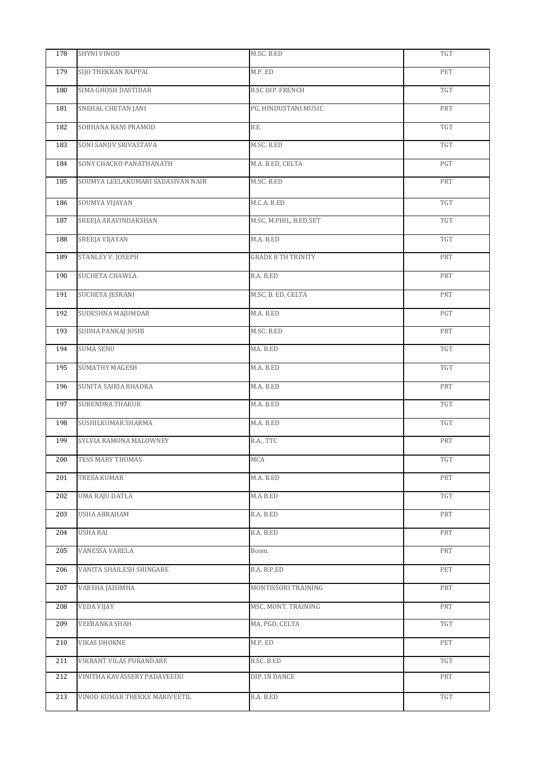| 178 | <b>SHYNI VINOD</b>                | M.SC. B.ED                | <b>TGT</b>           |
|-----|-----------------------------------|---------------------------|----------------------|
| 179 | SIJO THEKKAN RAPPAI               | M.P. ED                   | PET                  |
| 180 | SIMA GHOSH DASTIDAR               | <b>B.SC DIP. FRENCH</b>   | <b>TGT</b>           |
| 181 | SNEHAL CHETAN JANI                | PG, HINDUSTANI MUSIC      | PRT                  |
| 182 | SOBHANA RANI PRAMOD               | B.E.                      | TGT                  |
| 183 | SONI SANJIV SRIVASTAVA            | M.SC. B.ED                | TGT                  |
| 184 | SONY CHACKO PANATHANATH           | M.A. B.ED, CELTA          | PGT                  |
| 185 | SOUMYA LEELAKUMARI SADASIVAN NAIR | M.SC. B.ED                | PRT                  |
| 186 | SOUMYA VIJAYAN                    | M.C.A. B.ED               | TGT                  |
| 187 | SREEJA ARAVINDAKSHAN              | M.SC, M.PHIL, B.ED, SET   | TGT                  |
| 188 | SREEJA VIJAYAN                    | M.A. B.ED                 | $\operatorname{TGT}$ |
| 189 | STANLEY V. JOSEPH                 | <b>GRADE 8 TH TRINITY</b> | PRT                  |
| 190 | SUCHETA CHAWLA                    | B.A. B.ED                 | PRT                  |
| 191 | SUCHETA JESRANI                   | M.SC, B. ED, CELTA        | PRT                  |
| 192 | SUDESHNA MAJUMDAR                 | M.A. B.ED                 | PGT                  |
| 193 | SUDHA PANKAJ JOSHI                | M.SC. B.ED                | PRT                  |
| 194 | <b>SUMA SENU</b>                  | MA. B.ED                  | TGT                  |
| 195 | <b>SUMATHY MAGESH</b>             | M.A. B.ED                 | <b>TGT</b>           |
| 196 | SUNITA SAIKIA BHADRA              | M.A, B.ED                 | PRT                  |
| 197 | <b>SURENDRA THAKUR</b>            | M.A. B.ED                 | $\operatorname{TGT}$ |
| 198 | SUSHILKUMAR SHARMA                | M.A. B.ED                 | $\operatorname{TGT}$ |
| 199 | SYLVIA RAMONA MALOWNEY            | B.A., TTC                 | PRT                  |
| 200 | TESS MARY THOMAS                  | <b>MCA</b>                | TGT                  |
| 201 | TRESA KUMAR                       | M.A. B.ED                 | PRT                  |
| 202 | UMA RAJU DATLA                    | M.A B.ED                  | TGT                  |
| 203 | USHA ABRAHAM                      | B.A. B.ED                 | PRT                  |
| 204 | <b>USHA RAI</b>                   | B.A. B.ED                 | PRT                  |
| 205 | VANESSA VARELA                    | Bcom.                     | PRT                  |
| 206 | VANITA SHAILESH SHINGARE          | B.A. B.P.ED               | PET                  |
| 207 | VARSHA JAISIMHA                   | MONTISSORI TRAINING       | PRT                  |
| 208 | VEDA VIJAY                        | MSC, MONT. TRAINING       | PRT                  |
| 209 | <b>VEERANKA SHAH</b>              | MA, PGD, CELTA            | TGT                  |
| 210 | <b>VIKAS DHOKNE</b>               | M.P. ED                   | PET                  |
| 211 | VIKRANT VILAS PURANDARE           | B.SC. B.ED                | TGT                  |
| 212 | VINITHA KAVASSERY PADAVEEDU       | DIP. IN DANCE             | PRT                  |
| 213 | VINOD KUMAR THEKKE MARIVEETIL     | B.A. B.ED                 | TGT                  |